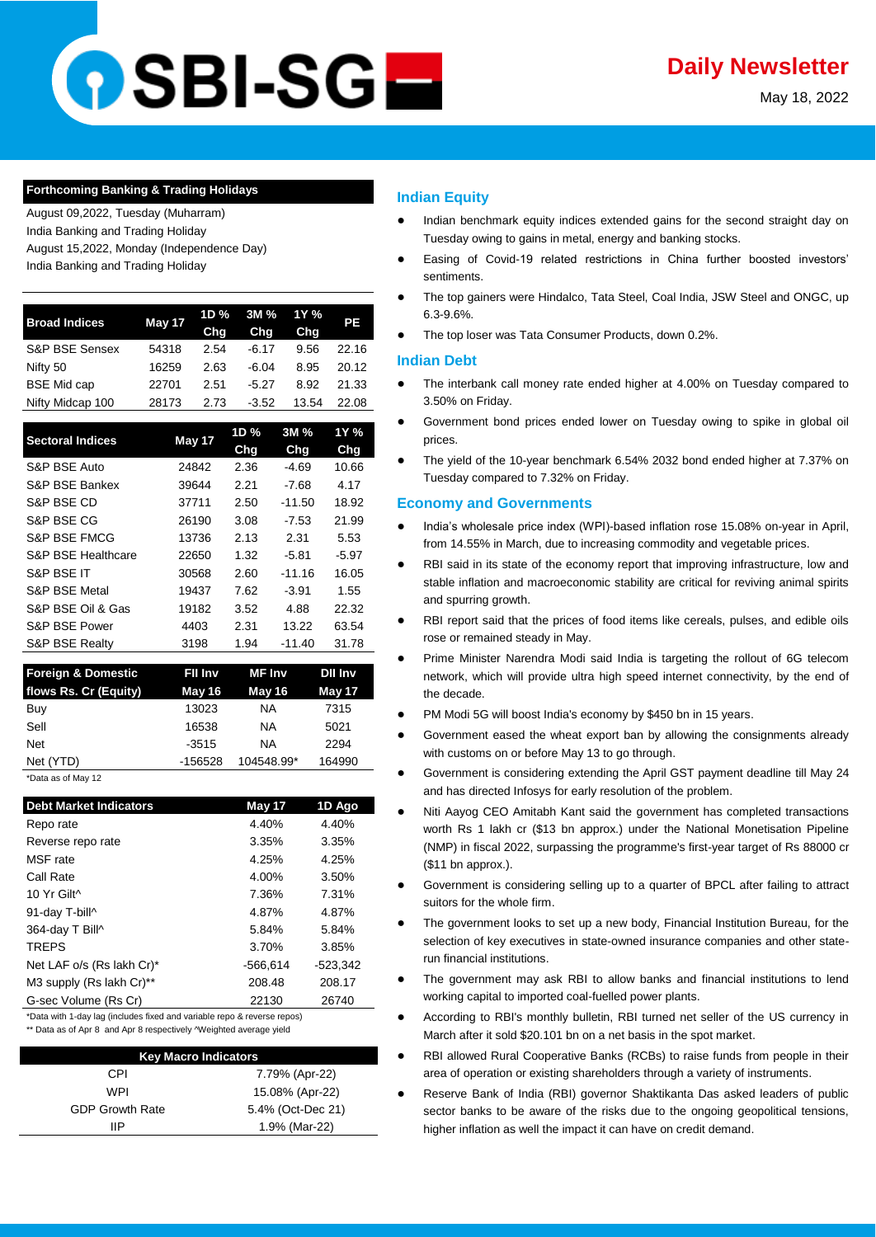# **DSBI-SGE**

May 18, 2022

## **Forthcoming Banking & Trading Holidays**

August 09,2022, Tuesday (Muharram) India Banking and Trading Holiday August 15,2022, Monday (Independence Day)

India Banking and Trading Holiday

| <b>Broad Indices</b> | May 17 | 1D %<br>Cha | 3M %<br>Chg | 1Y %<br>Chg | РE    |
|----------------------|--------|-------------|-------------|-------------|-------|
| S&P BSE Sensex       | 54318  | 2.54        | $-6.17$     | 9.56        | 22.16 |
| Nifty 50             | 16259  | 2.63        | $-6.04$     | 8.95        | 20.12 |
| <b>BSE Mid cap</b>   | 22701  | 2.51        | $-5.27$     | 8.92        | 21.33 |
| Nifty Midcap 100     | 28173  | 2.73        | $-3.52$     | 13.54       | 22.08 |
|                      |        |             |             |             |       |

| <b>Sectoral Indices</b>   | May 17 | 1D %<br><b>Chg</b> | 3M %<br><b>Chg</b> | 1Y %<br>Chg |
|---------------------------|--------|--------------------|--------------------|-------------|
| S&P BSE Auto              | 24842  | 2.36               | $-4.69$            | 10.66       |
| S&P BSE Bankex            | 39644  | 2.21               | $-7.68$            | 4.17        |
| S&P BSE CD                | 37711  | 2.50               | $-11.50$           | 18.92       |
| S&P BSE CG                | 26190  | 3.08               | $-7.53$            | 21.99       |
| S&P BSE FMCG              | 13736  | 2.13               | 2.31               | 5.53        |
| S&P BSE Healthcare        | 22650  | 1.32               | $-5.81$            | $-5.97$     |
| S&P BSE IT                | 30568  | 2.60               | $-11.16$           | 16.05       |
| <b>S&amp;P BSE Metal</b>  | 19437  | 7.62               | $-3.91$            | 1.55        |
| S&P BSE Oil & Gas         | 19182  | 3.52               | 4.88               | 22.32       |
| S&P BSE Power             | 4403   | 2.31               | 13.22              | 63.54       |
| <b>S&amp;P BSE Realty</b> | 3198   | 1.94               | $-11.40$           | 31.78       |

| <b>Foreign &amp; Domestic</b> | Fil Inv | MF Inv     | <b>Dil inv</b> |
|-------------------------------|---------|------------|----------------|
| flows Rs. Cr (Equity)         | May 16  | May 16     | May 17         |
| Buy                           | 13023   | ΝA         | 7315           |
| Sell                          | 16538   | ΝA         | 5021           |
| <b>Net</b>                    | $-3515$ | NA         | 2294           |
| Net (YTD)                     | -156528 | 104548.99* | 164990         |
| *Data as of May 12            |         |            |                |

| <b>Debt Market Indicators</b> | May 17     | 1D Ago     |
|-------------------------------|------------|------------|
| Repo rate                     | 4.40%      | 4.40%      |
| Reverse repo rate             | 3.35%      | 3.35%      |
| MSF rate                      | 4.25%      | 4.25%      |
| Call Rate                     | 4.00%      | 3.50%      |
| 10 Yr Gilt^                   | 7.36%      | 7.31%      |
| 91-day T-bill^                | 4.87%      | 4.87%      |
| 364-day T Bill^               | 5.84%      | 5.84%      |
| <b>TREPS</b>                  | 3.70%      | 3.85%      |
| Net LAF o/s (Rs lakh Cr)*     | $-566.614$ | $-523.342$ |
| M3 supply (Rs lakh Cr)**      | 208.48     | 208.17     |
| G-sec Volume (Rs Cr)          | 22130      | 26740      |

\*Data with 1-day lag (includes fixed and variable repo & reverse repos) \*\* Data as of Apr 8 and Apr 8 respectively ^Weighted average yield

| <b>Key Macro Indicators</b> |                   |  |  |  |
|-----------------------------|-------------------|--|--|--|
| CPI                         | 7.79% (Apr-22)    |  |  |  |
| WPI                         | 15.08% (Apr-22)   |  |  |  |
| <b>GDP Growth Rate</b>      | 5.4% (Oct-Dec 21) |  |  |  |
| IΙP                         | 1.9% (Mar-22)     |  |  |  |

# **Indian Equity**

- Indian benchmark equity indices extended gains for the second straight day on Tuesday owing to gains in metal, energy and banking stocks.
- Easing of Covid-19 related restrictions in China further boosted investors' sentiments.
- The top gainers were Hindalco, Tata Steel, Coal India, JSW Steel and ONGC, up 6.3-9.6%.
- The top loser was Tata Consumer Products, down 0.2%.

# **Indian Debt**

- The interbank call money rate ended higher at 4.00% on Tuesday compared to 3.50% on Friday.
- Government bond prices ended lower on Tuesday owing to spike in global oil prices.
- The yield of the 10-year benchmark 6.54% 2032 bond ended higher at 7.37% on Tuesday compared to 7.32% on Friday.

# **Economy and Governments**

- India's wholesale price index (WPI)-based inflation rose 15.08% on-year in April, [from 14.55% in March, due to increasing commodity and vegetable prices.](https://www.business-standard.com/article/economy-policy/wpi-inflation-hits-15-08-in-apr-in-double-digits-for-13th-straight-month-122051700506_1.html)
- RBI said in its state of the economy report that improving infrastructure, low and [stable inflation and macroeconomic stability are critical for reviving animal spirits](https://economictimes.indiatimes.com/news/economy/indicators/low-stable-inflation-critical-for-spurring-growth-rbi-article/articleshow/91621619.cms?utm_source=contentofinterest&utm_medium=text&utm_campaign=cppst)  [and spurring growth.](https://economictimes.indiatimes.com/news/economy/indicators/low-stable-inflation-critical-for-spurring-growth-rbi-article/articleshow/91621619.cms?utm_source=contentofinterest&utm_medium=text&utm_campaign=cppst)
- RBI report said that the prices of food items like cereals, pulses, and edible oils [rose or remained steady in May.](https://www.business-standard.com/article/economy-policy/prices-of-food-items-continuing-to-increase-in-may-says-rbi-report-122051800064_1.html)
- Prime Minister Narendra Modi said India is targeting the rollout of 6G telecom [network, which will provide ultra high speed internet connectivity, by the end of](https://www.financialexpress.com/industry/india-aims-to-roll-out-6g-telecom-network-by-end-of-decade-says-pm/2528044/)  [the decade.](https://www.financialexpress.com/industry/india-aims-to-roll-out-6g-telecom-network-by-end-of-decade-says-pm/2528044/)
- [PM Modi 5G will boost India's economy by \\$450 bn in 15 years.](https://economictimes.indiatimes.com/industry/telecom/telecom-news/5g-will-boost-indias-economy-by-450-billion-in-15-years-pm-modi/articleshow/91613840.cms?utm_source=contentofinterest&utm_medium=text&utm_campaign=cppst)
- Government eased the wheat export ban by allowing the consignments already [with customs on or before May 13 to go through.](https://economictimes.indiatimes.com/news/economy/foreign-trade/government-relaxes-ban-on-wheat-exports/articleshow/91614730.cms?utm_source=contentofinterest&utm_medium=text&utm_campaign=cppst)
- Government is considering extending the April GST payment deadline till May 24 [and has directed Infosys for early resolution of the problem.](https://economictimes.indiatimes.com/news/economy/policy/govt-extends-april-gst-payment-deadline-till-may-24-directs-infosys-to-fix-problem/articleshow/91625272.cms)
- Niti Aayog CEO Amitabh Kant said the government has completed transactions [worth Rs 1 lakh cr \(\\$13 bn approx.\) under the National Monetisation Pipeline](https://economictimes.indiatimes.com/news/economy/finance/with-transactions-worth-rs-1-lakh-crore-govt-surpasses-fy22-target-of-monetisation-plan/articleshow/91619951.cms?utm_source=contentofinterest&utm_medium=text&utm_campaign=cppst)  [\(NMP\) in fiscal 2022, surpassing the programme's first-year target of Rs 88000 cr](https://economictimes.indiatimes.com/news/economy/finance/with-transactions-worth-rs-1-lakh-crore-govt-surpasses-fy22-target-of-monetisation-plan/articleshow/91619951.cms?utm_source=contentofinterest&utm_medium=text&utm_campaign=cppst)  [\(\\$11 bn approx.\).](https://economictimes.indiatimes.com/news/economy/finance/with-transactions-worth-rs-1-lakh-crore-govt-surpasses-fy22-target-of-monetisation-plan/articleshow/91619951.cms?utm_source=contentofinterest&utm_medium=text&utm_campaign=cppst)
- [Government is considering selling up to a](https://economictimes.indiatimes.com/markets/stocks/news/govt-weighs-selling-part-of-bpcl-instead-of-full-stake/articleshow/91623556.cms?utm_source=contentofinterest&utm_medium=text&utm_campaign=cppst) quarter of BPCL after failing to attract [suitors for the whole firm.](https://economictimes.indiatimes.com/markets/stocks/news/govt-weighs-selling-part-of-bpcl-instead-of-full-stake/articleshow/91623556.cms?utm_source=contentofinterest&utm_medium=text&utm_campaign=cppst)
- The government looks to set up a new body, Financial Institution Bureau, for the [selection of key executives in state-owned insurance companies and other state](https://economictimes.indiatimes.com/industry/banking/finance/govt-looking-at-new-selection-body-for-psu-financial-entities/articleshow/91626582.cms)[run financial institutions.](https://economictimes.indiatimes.com/industry/banking/finance/govt-looking-at-new-selection-body-for-psu-financial-entities/articleshow/91626582.cms)
- The government may ask RBI to allow banks and financial institutions to lend [working capital to imported coal-fuelled power plants.](https://www.livemint.com/industry/energy/govt-may-ask-rbi-for-power-projects-window-11652816297059.html)
- According to RBI's monthly bulletin, RBI turned net seller of the US currency in [March after it sold \\$20.101 bn on a net basis in the spot market.](https://www.business-standard.com/article/pti-stories/rbi-turns-net-seller-of-us-currency-in-march-sells-usd-20-101-bn-122051701324_1.html)
- RBI allowed Rural Cooperative Banks (RCBs) to raise funds from people in their [area of operation or existing shareholders through a variety of instruments.](https://www.financialexpress.com/industry/banking-finance/rbi-allows-rural-co-operative-banks-to-raise-funds-from-preference-shares-debt-instruments/2497007/)
- Reserve Bank of India (RBI) governor Shaktikanta Das asked leaders of public [sector banks to be aware of the risks due to the ongoing geopolitical tensions,](https://economictimes.indiatimes.com/markets/stocks/news/rbi-guv-wants-psb-chiefs-to-track-geopolitical-other-risks/articleshow/91629551.cms)  [higher inflation as well the impact it can have on credit demand.](https://economictimes.indiatimes.com/markets/stocks/news/rbi-guv-wants-psb-chiefs-to-track-geopolitical-other-risks/articleshow/91629551.cms)